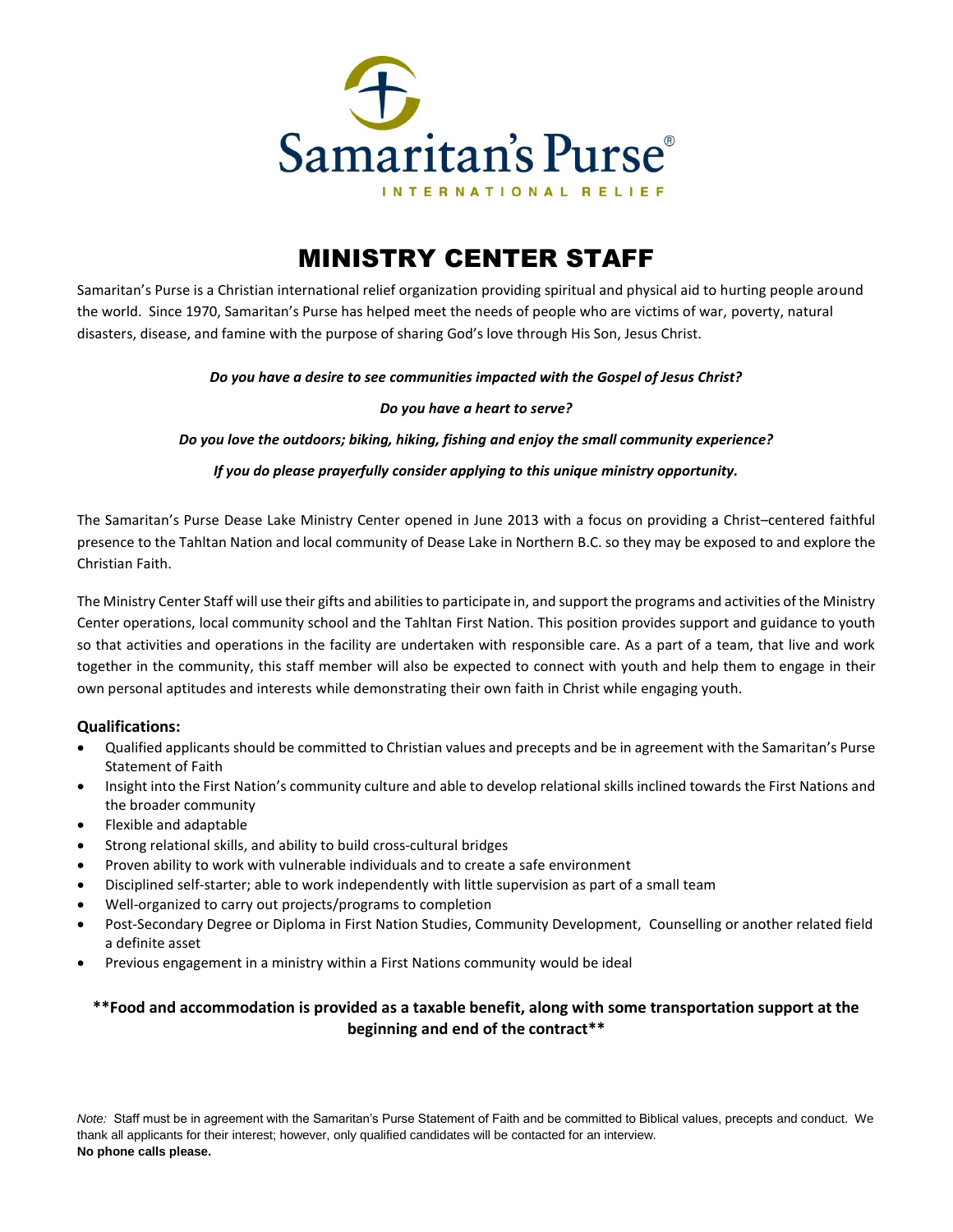

# MINISTRY CENTER STAFF

Samaritan's Purse is a Christian international relief organization providing spiritual and physical aid to hurting people around the world. Since 1970, Samaritan's Purse has helped meet the needs of people who are victims of war, poverty, natural disasters, disease, and famine with the purpose of sharing God's love through His Son, Jesus Christ.

### *Do you have a desire to see communities impacted with the Gospel of Jesus Christ?*

#### *Do you have a heart to serve?*

*Do you love the outdoors; biking, hiking, fishing and enjoy the small community experience?*

*If you do please prayerfully consider applying to this unique ministry opportunity.*

The Samaritan's Purse Dease Lake Ministry Center opened in June 2013 with a focus on providing a Christ–centered faithful presence to the Tahltan Nation and local community of Dease Lake in Northern B.C. so they may be exposed to and explore the Christian Faith.

The Ministry Center Staff will use their gifts and abilities to participate in, and support the programs and activities of the Ministry Center operations, local community school and the Tahltan First Nation. This position provides support and guidance to youth so that activities and operations in the facility are undertaken with responsible care. As a part of a team, that live and work together in the community, this staff member will also be expected to connect with youth and help them to engage in their own personal aptitudes and interests while demonstrating their own faith in Christ while engaging youth.

### **Qualifications:**

- Qualified applicants should be committed to Christian values and precepts and be in agreement with the Samaritan's Purse Statement of Faith
- Insight into the First Nation's community culture and able to develop relational skills inclined towards the First Nations and the broader community
- Flexible and adaptable
- Strong relational skills, and ability to build cross-cultural bridges
- Proven ability to work with vulnerable individuals and to create a safe environment
- Disciplined self-starter; able to work independently with little supervision as part of a small team
- Well-organized to carry out projects/programs to completion
- Post-Secondary Degree or Diploma in First Nation Studies, Community Development, Counselling or another related field a definite asset
- Previous engagement in a ministry within a First Nations community would be ideal

## **\*\*Food and accommodation is provided as a taxable benefit, along with some transportation support at the beginning and end of the contract\*\***

*Note:* Staff must be in agreement with the Samaritan's Purse Statement of Faith and be committed to Biblical values, precepts and conduct. We thank all applicants for their interest; however, only qualified candidates will be contacted for an interview. **No phone calls please.**